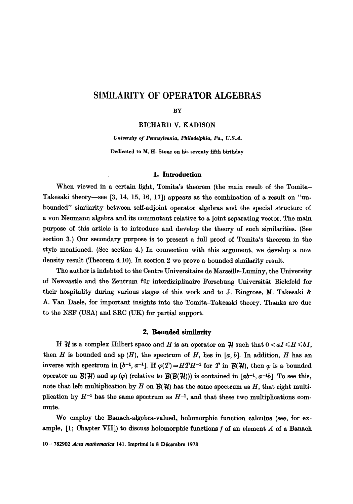# **SIMILARITY OF OPERATOR ALGEBRAS**

#### **BY**

RICHARD V. KADISON

*University of Pennsylvania, Philadelphia, Pa., U.S.A.*  Dedicated to M. H. **Stone on his seventy** fifth birthday

#### **l. Introduction**

When viewed in a certain light, Tomita's theorem (the main result of the Tomita-Takesaki theory—see [3, 14, 15, 16, 17]) appears as the combination of a result on "unbounded" similarity between self-adjoint operator algebras and the special structure of a yon Neumann algebra and its commutant relative to a joint separating vector. The main purpose of this article is to introduce and develop the theory of such similarities. (See section 3.) Our secondary purpose is to present a full proof of Tomita's theorem in the style mentioned. (See section 4.) In connection with this argument, we develop a new density result (Theorem 4.10). In section 2 we prove a bounded similarity result.

The author is indebted to the Centre Universitaire de Marseille-Luminy, the University of Newcastle and the Zentrum für interdiziplinaire Forschung Universität Bielefeld for their hospitality during various stages of this work and to J. Ringrose, M. Takesaki & A. Van Daele, for important insights into the Tomita-Takesaki theory. Thanks are due to the NSF (USA) and SRC (UK) for partial support.

# 2. Bounded similarity

If  $H$  is a complex Hilbert space and H is an operator on  $H$  such that  $0 < aI \leq H \leq bI$ , then H is bounded and sp  $(H)$ , the spectrum of H, lies in [a, b]. In addition, H has an inverse with spectrum in  $[b^{-1}, a^{-1}]$ . If  $\varphi(T) = HTH^{-1}$  for T in  $\mathcal{B}(\mathcal{H})$ , then  $\varphi$  is a bounded operator on  $\mathcal{B}(\mathcal{H})$  and sp  $(\varphi)$  (relative to  $\mathcal{B}(\mathcal{B}(\mathcal{H})))$  is contained in  $[ab^{-1}, a^{-1}b]$ . To see this, note that left multiplication by H on  $\mathcal{B}(\mathcal{H})$  has the same spectrum as H, that right multiplication by  $H^{-1}$  has the same spectrum as  $H^{-1}$ , and that these two multiplications commute.

We employ the Banach-algebra-valued, holomorphic function calculus (see, for example,  $[1;$  Chapter VII]) to discuss holomorphic functions  $f$  of an element  $A$  of a Banach

10 - 782902 *Acta mathematica* 141, Imprimé le 8 Décembre 1978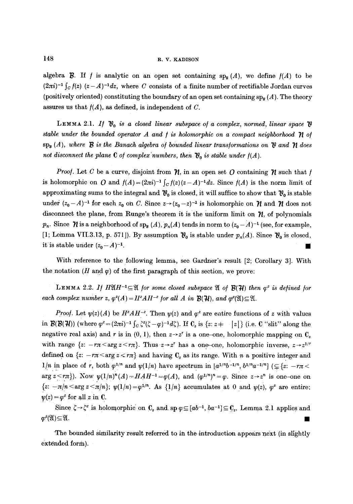algebra  $\mathcal{B}$ . If f is analytic on an open set containing  $\text{sp}_R(A)$ , we define  $f(A)$  to be  $(2\pi i)^{-1} \int_C f(z) (z - A)^{-1} dz$ , where C consists of a finite number of rectifiable Jordan curves (positively oriented) constituting the boundary of an open set containing  $sp_{R}(A)$ . The theory assures us that  $f(A)$ , as defined, is independent of C.

LEMMA 2.1. *If*  $\mathcal{V}_0$  is a closed linear subspace of a complex, normed, linear space  $\mathcal{V}$ stable under the bounded operator A and  $f$  is holomorphic on a compact neighborhood  $\eta$  of  $\operatorname{sp}_{\mathbf{g}}(A)$ , where  $\mathbf B$  is the Banach algebra of bounded linear transformations on  $\mathbf w$  and  $\mathbf W$  does not disconnect the plane  $C$  of complex numbers, then  $\mathfrak{V}_0$  is stable under  $f(A)$ .

*Proof.* Let C be a curve, disjoint from  $\gamma$ , in an open set O containing  $\gamma$  such that f is holomorphic on O and  $f(A)=(2\pi i)^{-1} \int_C f(z)(z-A)^{-1} dz$ . Since  $f(A)$  is the norm limit of approximating sums to the integral and  $\mathfrak{V}_0$  is closed, it will suffice to show that  $\mathfrak{V}_0$  is stable under  $(z_0-A)^{-1}$  for each  $z_0$  on C. Since  $z \rightarrow (z_0-z)^{-1}$  is hotomorphic on  $\mathcal{H}$  and  $\mathcal{H}$  does not disconnect the plane, from Runge's theorem it is the uniform limit on  $\mathcal{U}$ , of polynomials  $p_n$ . Since  $\mathcal N$  is a neighborhood of sp<sub>8</sub> (A),  $p_n(A)$  tends in norm to  $(z_0 - A)^{-1}$  (see, for example, [1; Lemma VII.3.13, p. 571]). By assumption  $\mathfrak{Y}_0$  is stable under  $p_n(A)$ . Since  $\mathfrak{Y}_0$  is closed, it is stable under  $(z_0 - A)^{-1}$ .

With reference to the following lemma, see Gardner's result [2; Corollary 3]. With the notation (H and  $\varphi$ ) of the first paragraph of this section, we prove:

LEMMA 2.2. If  $H\mathfrak{A}H^{-1}\subseteq \mathfrak{A}$  for some closed subspace  $\mathfrak{A}$  of  $\mathcal{B}(\mathcal{H})$  then  $\varphi^2$  is defined for *each complex number z,*  $\varphi^2(A) = H^2 A H^{-2}$  *for all A in* **B(H)***, and*  $\varphi^2(\mathfrak{A}) \subseteq \mathfrak{A}$ *.* 

*Proof.* Let  $\psi(z)(A)$  be  $H^2AH^{-z}$ . Then  $\psi(z)$  and  $\varphi^z$  are entire functions of z with values in  $\mathcal{B}(\mathcal{B}(\mathcal{H}))$  (where  $\varphi^z = (2\pi i)^{-1} \int_C \zeta^z (\zeta - \varphi)^{-1} d\zeta$ ). If  $C_s$  is  $\{z: z \neq -|z|\}$  (i.e. C "slit" along the negative real axis) and r is in  $(0, 1)$ , then  $z \rightarrow z^r$  is a one-one, holomorphic mapping on  $C_s$ with range  $\{z: -r\pi \le \arg z \le r\pi\}$ . Thus  $z \to z^r$  has a one-one, holomorphic inverse,  $z \to z^{1/r}$ defined on  $\{z: -r\pi < \arg z < r\pi\}$  and having  $C_s$  as its range. With n a positive integer and  $1/n$  in place of r, both  $\varphi^{1/n}$  and  $\psi(1/n)$  have spectrum in  $[a^{1/n}b^{-1/n}, b^{1/n}a^{-1/n}]$  ( $\subseteq$  {z: -r $\pi$  < arg  $z \leq r\pi$ ). Now  $\psi(1/n)^n(A) = HAH^{-1} = \varphi(A)$ , and  $(\varphi^{1/n})^n = \varphi$ . Since  $z \to z^n$  is one-one on  ${z: -\pi/n \le \arg z \le \pi/n}; \ \psi(1/n) = \varphi^{1/n}$ . As  ${1/n}$  accumulates at 0 and  $\psi(z)$ ,  $\varphi^z$  are entire;  $\psi(z) = \varphi^z$  for all z in C.

Since  $\zeta \rightarrow \zeta^z$  is holomorphic on C<sub>s</sub> and sp  $\varphi \subseteq [ab^{-1}, ba^{-1}] \subseteq C_s$ , Lemma 2.1 applies and  $\mathbf{\omega}^2(\mathfrak{A})\subseteq \mathfrak{A}.$ 

The bounded similarity result referred to in the introduction appears next (in slightly extended form).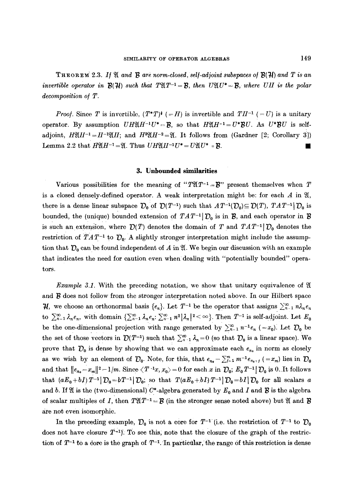**THEOREM** 2.3. If  $\mathfrak{A}$  and  $\mathfrak{B}$  are norm-closed, self-adjoint subspaces of  $\mathfrak{B}(\mathfrak{H})$  and  $T$  is an *invertible operator in*  $\mathcal{B}(\mathcal{H})$  such that  $T\mathfrak{A}T^{-1}=\mathcal{B}$ , then  $U\mathfrak{A}U^*=\mathcal{B}$ , where UH is the polar *decomposition o/T.* 

*Proof.* Since T is invertible,  $(T^*T)^*$  (=H) is invertible and  $TH^{-1}$  (-U) is a unitary operator. By assumption  $U H \mathfrak{A} H^{-1} U^* = B$ , so that  $H \mathfrak{A} H^{-1} = U^* B U$ . As  $U^* B U$  is selfadjoint,  $H\mathfrak{A}H^{-1}=H^{-1}\mathfrak{A}H$ ; and  $H^{2}\mathfrak{A}H^{-2}=\mathfrak{A}H$ . It follows from (Gardner [2; Corollary 3]) Lemma 2.2 that  $H\mathfrak{A} H^{-1} = \mathfrak{A}$ . Thus  $U H \mathfrak{A} H^{-1} U^* = U \mathfrak{A} U^* = \mathcal{B}$ .

#### **3. Unbounded similarities**

Various possibilities for the meaning of " $T\mathfrak{A}T^{-1}=\mathcal{B}$ " present themselves when T is a closed densely-defined operator. A weak interpretation might be: for each  $A$  in  $\mathfrak{A}$ , there is a dense linear subspace  $\mathcal{D}_0$  of  $\mathcal{D}(T^{-1})$  such that  $AT^{-1}(\mathcal{D}_0) \subseteq \mathcal{D}(T)$ ,  $TAT^{-1}|\mathcal{D}_0$  is bounded, the (unique) bounded extension of  $TAT^{-1}$ ; D<sub>0</sub> is in B, and each operator in B is such an extension, where  $\mathcal{D}(T)$  denotes the domain of T and  $TAT^{-1}$   $\mathcal{D}_0$  denotes the restriction of  $TAT^{-1}$  to  $D_0$ . A slightly stronger interpretation might include the assumption that  $\mathcal{D}_0$  can be found independent of A in  $\mathfrak{A}$ . We begin our discussion with an example that indicates the need for caution even when dealing with "potentially bounded" operators.

*Example 3.1.* With the preceding notation, we show that unitary equivalence of  $\mathfrak A$ and  $\boldsymbol{\mathcal{B}}$  does not follow from the stronger interpretation noted above. In our Hilbert space  $\mathcal{H}$ , we choose an orthonormal basis  $\{e_n\}$ . Let  $T^{-1}$  be the operator that assigns  $\sum_{n=1}^{\infty} n \lambda_n e_n$ to  $\sum_{n=1}^{\infty} \lambda_n e_n$ , with domain  $\{\sum_{n=1}^{\infty} \lambda_n e_n : \sum_{n=1}^{\infty} n^2 |\lambda_n|^2 < \infty\}$ . Then  $T^{-1}$  is self-adjoint. Let  $E_0$ be the one-dimensional projection with range generated by  $\sum_{n=1}^{\infty} n^{-1}e_n$  (=x<sub>0</sub>). Let  $\mathcal{D}_0$  be the set of those vectors in  $\mathcal{D}(T^{-1})$  such that  $\sum_{n=1}^{\infty} \lambda_n = 0$  (so that  $\mathcal{D}_0$  is a linear space). We prove that  $\mathcal{D}_0$  is dense by showing that we can approximate each  $e_{n_0}$  in norm as closely as we wish by an element of  $\mathcal{D}_0$ . Note, for this, that  $e_{n_0}-\sum_{j=1}^m m^{-1}e_{n_0-j}$  (=x<sub>m</sub>) lies in  $\mathcal{D}_0$ and that  $||e_{n_0}-x_m||^2-1/m$ . Since  $\langle T^{-1}x, x_0\rangle=0$  for each x in  $\mathcal{D}_0$ ;  $E_0T^{-1}$   $|\mathcal{D}_0$  is 0. It follows that  $(aE_0+bI)T^{-1}$   $D_0=bT^{-1}$   $D_0$ ; so that  $T(aE_0+bI)T^{-1}$   $D_0=bI$   $D_0$  for all scalars a and b. If  $\mathfrak A$  is the (two-dimensional) C\*-algebra generated by  $E_0$  and I and  $\mathcal B$  is the algebra of scalar multiples of I, then  $T\mathfrak{A}T^{-1} = \mathcal{B}$  (in the stronger sense noted above) but  $\mathfrak{A}$  and  $\mathcal{B}$ are not even isomorphic.

In the preceding example,  $\mathcal{D}_0$  is not a core for  $T^{-1}$  (i.e. the restriction of  $T^{-1}$  to  $\mathcal{D}_0$ does not have closure  $T^{-1}$ . To see this, note that the closure of the graph of the restriction of  $T^{-1}$  to a dore is the graph of  $T^{-1}$ . In particular, the range of this restriction is dense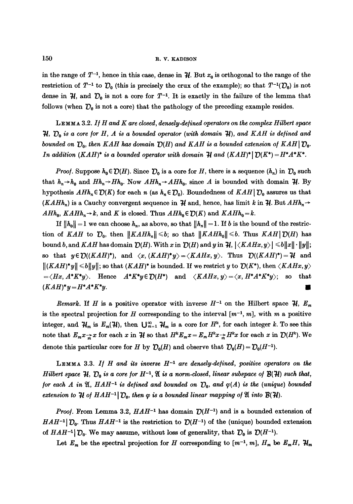in the range of  $T^{-1}$ , hence in this case, dense in  $H$ . But  $x_0$  is orthogonal to the range of the restriction of  $T^{-1}$  to  $\mathcal{D}_0$  (this is precisely the crux of the example); so that  $T^{-1}(\mathcal{D}_0)$  is not dense in  $H$ , and  $D_0$  is not a core for  $T^{-1}$ . It is exactly in the failure of the lemma that follows (when  $\mathcal{D}_0$  is not a core) that the pathology of the preceding example resides.

LEMMA 3.2. *If H and K are closed, densely.de/ined operators on the complex Hilbert space*   $\mathcal{H}, \mathcal{D}_0$  is a core for H, A is a bounded operator (with domain  $\mathcal{H}$ ), and KAH is defined and *bounded on*  $D_0$ , then KAH has domain  $D(H)$  and KAH is a bounded extension of KAH  $D_0$ . *In addition (KAH)\* is a bounded operator with domain*  $\mathcal{H}$  *and (KAH)\**[ $\mathcal{D}(K^*) = H^*A^*K^*$ .

*Proof.* Suppose  $h_0 \in \mathcal{D}(H)$ . Since  $\mathcal{D}_0$  is a core for H, there is a sequence  $(h_n)$  in  $\mathcal{D}_0$  such that  $h_n \rightarrow h_0$  and  $H h_n \rightarrow H h_0$ . Now  $A H h_n \rightarrow A H h_0$ , since A is bounded with domain  $\mathcal{H}$ . By hypothesis  $A H h_n \in \mathcal{D}(K)$  for each n (as  $h_n \in \mathcal{D}_0$ ). Boundedness of  $K A H | \mathcal{D}_0$  assures us that *(KAHh<sub>n</sub>*) is a Cauchy convergent sequence in  $\mathcal{H}$  and, hence, has limit k in  $\mathcal{H}$ . But  $AHh_n \rightarrow$  $A H h_0$ ,  $K A H h_n \rightarrow k$ , and K is closed. Thus  $A H h_0 \in \mathcal{D}(K)$  and  $K A H h_0 = k$ .

If  $||h_0|| = 1$  we can choose  $h_n$ , as above, so that  $||h_n|| = 1$ . If b is the bound of the restriction of *KAH* to  $\mathcal{D}_0$ , then  $||KAtH_h|| \leq b$ ; so that  $||KAtH_h|| \leq b$ . Thus *KAH*  $|D(H)$  has bound b, and  $KAH$  has domain  $\mathcal{D}(H)$ . With x in  $\mathcal{D}(H)$  and y in  $\mathcal{H}$ ,  $|\langle KAHx, y \rangle| \le b||x|| \cdot ||y||$ ; so that  $y \in \mathcal{D}((KAH)^*)$ , and  $\langle x, (KAH)^*y \rangle = \langle KAHx, y \rangle$ . Thus  $\mathcal{D}((KAH)^*) = \mathcal{H}$  and  $\|(KAH)^*y\| \leq b\|y\|$ ; so that  $(KAH)^*$  is bounded. If we restrict y to  $\mathcal{D}(K^*)$ , then  $\langle KAHx, y\rangle$  $=\langle Hx, A^*K^*y\rangle$ . Hence  $A^*K^*y \in \mathcal{D}(H^*)$  and  $\langle KAHx, y\rangle = \langle x, H^*A^*K^*y\rangle$ ; so that  $(KAH)^*y = H^*A^*K^*y.$ 

*Remark.* If H is a positive operator with inverse  $H^{-1}$  on the Hilbert space  $\mathcal{H}$ ,  $E_m$ is the spectral projection for H corresponding to the interval  $[m^{-1}, m]$ , with m a positive integer, and  $\mathcal{H}_m$  is  $E_m(\mathcal{H})$ , then  $\bigcup_{m=1}^{\infty} \mathcal{H}_m$  is a core for  $H^k$ , for each integer k. To see this note that  $E_m x_{m}^{\rightarrow} x$  for each x in  $\mathcal{H}$  so that  $H^k E_m x = E_m H^k x_{m}^{\rightarrow} H^k x$  for each x in  $\mathcal{D}(H^k)$ . We denote this particular core for H by  $\mathcal{D}_0(H)$  and observe that  $\mathcal{D}_0(H) = \mathcal{D}_0(H^{-1})$ .

LEMMA 3.3. If  $H$  and its inverse  $H^{-1}$  are densely-defined, positive operators on the *Hilbert space*  $H$ ,  $\mathcal{D}_0$  is a core for  $H^{-1}$ ,  $\mathfrak A$  is a norm-closed, linear subspace of  $B(H)$  such that, *for each A in*  $\mathfrak{A}, HAH^{-1}$  *is defined and bounded on*  $\mathcal{D}_0$ *, and*  $\varphi(A)$  *is the (unique) bounded extension to*  $H$  *of*  $HAH^{-1}$   $\mathcal{D}_0$ *, then*  $\varphi$  *is a bounded linear mapping of*  $\mathfrak A$  *into*  $B(H)$ *.* 

*Proof.* From Lemma 3.2,  $HAH^{-1}$  has domain  $D(H^{-1})$  and is a bounded extension of *HAH*<sup>-1</sup>  $\mathcal{D}_0$ . Thus *HAH*<sup>-1</sup> is the restriction to  $\mathcal{D}(H^{-1})$  of the (unique) bounded extension *of HAH*<sup>-1</sup>  $\mathcal{D}_0$ . We may assume, without loss of generality, that  $\mathcal{D}_0$  is  $\mathcal{D}(H^{-1})$ .

Let  $E_m$  be the spectral projection for H corresponding to  $[m^{-1}, m]$ ,  $H_m$  be  $E_m H$ ,  $\mathcal{H}_m$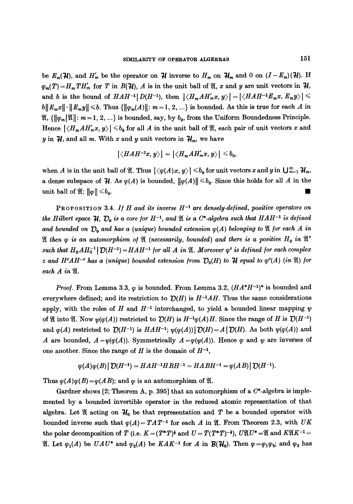be  $E_m(\mathcal{H})$ , and  $H'_m$  be the operator on  $\mathcal{H}$  inverse to  $H_m$  on  $\mathcal{H}_m$  and 0 on  $(I-E_m)(\mathcal{H})$ . If  $\varphi_m(T) = H_mTH'_m$  for T in  $B(H)$ , A is in the unit ball of  $\mathfrak{A}$ , x and y are unit vectors in  $H$ , and b is the bound of  $HAH^{-1}[D(H^{-1})$ , then  $|\langle H_mAH'_mx, y\rangle| = |\langle HAH^{-1}E_mx, E_my\rangle| \leq$  $b||E_mx|| \cdot ||E_my|| \le b$ . Thus  $\{\|\varphi_m(A)\|: m=1, 2, ...\}$  is bounded. As this is true for each A in  $\mathfrak{A}, \{\|\varphi_m\|\mathfrak{A}\|: m=1, 2, \ldots\}$  is bounded, say, by  $b_0$ , from the Uniform Boundedness Principle. Hence  $|\langle H_m A H'_m x, y \rangle| \leq b_0$  for all A in the unit ball of  $\mathfrak{A}$ , each pair of unit vectors x and y in  $\mathcal{H}$ , and all m. With x and y unit vectors in  $\mathcal{H}_m$ , we have

$$
|\langle HAH^{-1}x,y\rangle|=|\langle H_mAH_m'x,y\rangle|\leq b_0,
$$

when A is in the unit ball of  $\mathfrak{A}$ . Thus  $|\langle \varphi(A)x, y \rangle| \leq b_0$  for unit vectors x and y in  $\bigcup_{m=1}^{\infty} \mathcal{H}_m$ , a dense subspace of  $H$ . As  $\varphi(A)$  is bounded,  $\|\varphi(A)\| \leq b_0$ . Since this holds for all A in the unit ball of  $\mathfrak{A}$ ;  $\|\varphi\| \leq b_0$ .

PROPOSITION 3.4. If H and its inverse H<sup>-1</sup> are densely-defined, positive operators on *the Hilbert space*  $\mathcal{H}$ ,  $\mathcal{D}_0$  *is a core for H<sup>-1</sup>*, and  $\mathfrak{A}$  *is a C\*-algebra such that HAH<sup>-1</sup> is defined* and bounded on  $D_0$  and has a (unique) bounded extension  $\varphi(A)$  belonging to  $\mathfrak A$  for each A in  $\mathfrak A$  then  $\varphi$  is an automorphism of  $\mathfrak A$  (necessarily, bounded) and there is a positive  $H_0$  in  $\mathfrak A''$ such that  $H_0AH_0^{-1}[\mathcal{D}(H^{-1})=HAH^{-1}$  for all A in  $\mathfrak{A}$ . Moreover  $\varphi^z$  is defined for each complex *z* and  $H^2AH^{-2}$  has a (unique) bounded extension from  $\mathcal{D}_0(H)$  to  $\mathcal{H}$  equal to  $\varphi^2(A)$  (in  $\mathfrak{A}$ ) for *each A in* .

*Proof.* From Lemma 3.3,  $\varphi$  is bounded. From Lemma 3.2,  $(HA^*H^{-1})^*$  is bounded and everywhere defined; and its restriction to  $\mathcal{D}(H)$  is  $H^{-1}AH$ . Thus the same considerations apply, with the roles of H and  $H^{-1}$  interchanged, to yield a bounded linear mapping  $\psi$ of  $\mathfrak A$  into  $\mathfrak A$ . Now  $\psi(\varphi(A))$  restricted to  $\mathcal D(H)$  is  $H^{-1}\varphi(A)H$ . Since the range of H is  $\mathcal D(H^{-1})$ and  $\varphi(A)$  restricted to  $\mathcal{D}(H^{-1})$  is  $HAH^{-1}$ ;  $\psi(\varphi(A)) | \mathcal{D}(H) = A | \mathcal{D}(H)$ . As both  $\psi(\varphi(A))$  and A are bounded,  $A = \psi(\varphi(A))$ . Symmetrically  $A = \varphi(\psi(A))$ . Hence  $\varphi$  and  $\psi$  are inverses of one another. Since the range of H is the domain of  $H^{-1}$ ,

$$
\varphi(A)\varphi(B)\,|\,\mathcal{D}(H^{-1})=HAH^{-1}HBH^{-1}=HABH^{-1}=\varphi(AB)\,|\,\mathcal{D}(H^{-1}).
$$

Thus  $\varphi(A)\varphi(B) = \varphi(AB)$ ; and  $\varphi$  is an automorphism of  $\mathfrak{A}$ .

Gardner shows  $[2;$  Theorem A, p. 395] that an automorphism of a  $C^*$ -algebra is implemented by a bounded invertible operator in the reduced atomic representation of that algebra. Let  $\mathfrak A$  acting on  $\mathcal H_0$  be that representation and  $T$  be a bounded operator with bounded inverse such that  $\varphi(A) = TAT^{-1}$  for each A in  $\mathfrak{A}$ . From Theorem 2.3, with *UK* the polar decomposition of T (i.e.  $K = (T^*T)^{\dagger}$  and  $U = T(T^*T)^{-1}$ ),  $U \mathfrak{A} U^* = \mathfrak{A}$  and  $K \mathfrak{A} K^{-1} =$ I. Let  $\varphi_1(A)$  be  $UAU^*$  and  $\varphi_2(A)$  be  $KAK^{-1}$  for A in  $\mathcal{B}(\mathcal{H}_0)$ . Then  $\varphi = \varphi_1 \varphi_2$ ; and  $\varphi_2$  has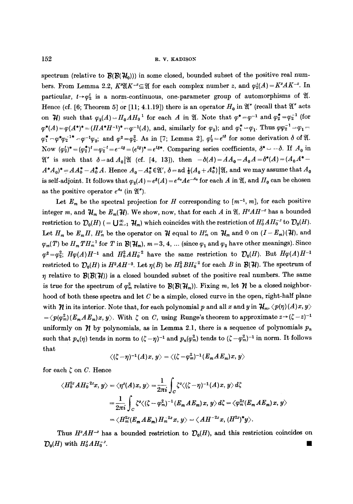spectrum (relative to  $\mathcal{B}(\mathcal{B}(\mathcal{H}_0))$ ) in some closed, bounded subset of the positive real numbers. From Lemma 2.2,  $K^2(XK^{-2} \subseteq \mathfrak{A}$  for each complex number z, and  $\varphi_2^2(A) = K^2AK^{-2}$ . In particular,  $t \rightarrow \varphi_2^t$  is a norm-continuous, one-parameter group of automorphisms of  $\mathfrak{A}$ . Hence (cf. [6; Theorem 5] or [11; 4.1.19]) there is an operator  $H_0$  in  $\mathfrak{A}''$  (recall that  $\mathfrak{A}''$  acts on  $\mathcal{H}$ ) such that  $\varphi_2(A)=H_0AH_0^{-1}$  for each A in  $\mathfrak{A}$ . Note that  $\varphi^*=\varphi^{-1}$  and  $\varphi_2^*=\varphi_2^{-1}$  (for  $\varphi^*(A) = \varphi(A^*)^* = (HA^*H^{-1})^* - \varphi^{-1}(A)$ , and, similarly for  $\varphi_2$ ); and  $\varphi_1^* = \varphi_1$ . Thus  $\varphi \varphi_2^{-1} = \varphi_1 =$  $\varphi_1^* - \varphi^* \varphi_2^{-1*} - \varphi^{-1} \varphi_2$ ; and  $\varphi^2 = \varphi_2^2$ . As in [7; Lemma 2],  $\varphi_2^t = e^{t\delta}$  for some derivation  $\delta$  of  $\mathfrak{A}$ . Now  $(\varphi_2^t)^*=(\varphi_2^*)^t=\varphi_2^{-t}=e^{-t\delta}=(e^{t\delta})^*=e^{t\delta*}$ . Comparing series coefficients,  $\delta^*=-\delta$ . If  $A_0$  in  $\mathfrak{A}$ " is such that  $\delta = ad A_0 \mathfrak{A}$  (cf. [4, 13]), then  $-\delta(A) = AA_0 - A_0A = \delta^*(A) = (A_0A^* - A_0A_0)$  $A^*A_0^* = AA_0^* - A_0^*A$ . Hence  $A_0 - A_0^* \in \mathfrak{A}'$ ,  $\delta = ad \frac{1}{2}(A_0 + A_0^*)\mathfrak{A}$ , and we may assume that  $A_0$ is self-adjoint. It follows that  $\varphi_2(A) = e^{\delta(A)} = e^{A_0} A e^{-A_0}$  for each A in  $\mathfrak{A}$ , and  $H_0$  can be chosen as the positive operator  $e^{A_0}$  (in  $\mathfrak{A}''$ ).

Let  $E_m$  be the spectral projection for H corresponding to  $[m^{-1}, m]$ , for each positive integer m, and  $\mathcal{H}_m$  be  $E_m(\mathcal{H})$ . We show, now, that for each A in  $\mathfrak{A}, H^2AH^{-2}$  has a bounded restriction to  $\mathcal{D}_0(H)$  (=  $\bigcup_{m=1}^{\infty} \mathcal{H}_m$ ) which coincides with the restriction of  $H_0^z A H_0^{-z}$  to  $\mathcal{D}_0(H)$ . Let  $H_m$  be  $E_m H$ ,  $H_m^z$  be the operator on  $\mathcal{H}$  equal to  $H_m^z$  on  $\mathcal{H}_m$  and 0 on  $(I - E_m)(\mathcal{H})$ , and  $\varphi_m(T)$  be  $H_m T H_m^{-1}$  for T in  $\mathcal{B}(\mathcal{H}_m)$ ,  $m = 3, 4, ...$  (since  $\varphi_1$  and  $\varphi_2$  have other meanings). Since  $\varphi^2=\varphi_2^2$ ;  $H\varphi(A)H^{-1}$  and  $H_0^2AH_0^{-2}$  have the same restriction to  $\mathcal{D}_0(H)$ . But  $H\varphi(A)H^{-1}$ restricted to  $\mathcal{D}_0(H)$  is  $H^2AH^{-2}$ . Let  $\eta(B)$  be  $H_0^2BH_0^{-2}$  for each B in  $\mathcal{B}(\mathcal{H})$ . The spectrum of  $\eta$  relative to  $\mathcal{B}(\mathcal{B}(\mathcal{H}))$  is a closed bounded subset of the positive real numbers. The same is true for the spectrum of  $\varphi_m^2$  relative to  $\mathcal{B}(\mathcal{B}(\mathcal{H}_m))$ . Fixing m, let  $\mathcal{H}$  be a closed neighborhood of both these spectra and let  $C$  be a simple, closed curve in the open, right-half plane with  $\mathcal{H}$  in its interior. Note that, for each polynomial p and all x and y in  $\mathcal{H}_m$ ,  $\langle p(\eta)(A)x, y \rangle$  $=\langle p(\varphi_m^2)(E_m A E_m)x, y\rangle$ . With  $\zeta$  on C, using Runge's theorem to approximate  $z\rightarrow (\zeta-z)^{-1}$ uniformly on  $\gamma$  by polynomials, as in Lemma 2.1, there is a sequence of polynomials  $p_n$ such that  $p_n(\eta)$  tends in norm to  $(\zeta - \eta)^{-1}$  and  $p_n(\varphi_n^2)$  tends to  $(\zeta - \varphi_m^2)^{-1}$  in norm. It follows that

$$
\langle (\zeta - \eta)^{-1}(A)x, y \rangle = \langle (\zeta - \varphi_m^2)^{-1}(E_m A E_m) x, y \rangle
$$

for each  $\zeta$  on C. Hence

$$
\langle H_0^{2z}AH_0^{-2z}x, y\rangle = \langle \eta^z(A)x, y\rangle = \frac{1}{2\pi i}\int_C \zeta^z \langle (\zeta - \eta)^{-1}(A)x, y\rangle d\zeta
$$
  

$$
= \frac{1}{2\pi i}\int_C \zeta^z \langle (\zeta - \varphi_m^2)^{-1}(E_m AE_m)x, y\rangle d\zeta = \langle \varphi_m^{2z}(E_m AE_m)x, y\rangle
$$
  

$$
= \langle H_m^{2z}(E_m AE_m)H_m^{-2z}x, y\rangle = \langle AH^{-2z}x, (H^{2z})^*y\rangle.
$$

Thus  $H^2AH^{-2}$  has a bounded restriction to  $\mathcal{D}_0(H)$ , and this restriction coincides on  $\mathcal{D}_0(H)$  with  $H_0^2AH_0^{-2}$ .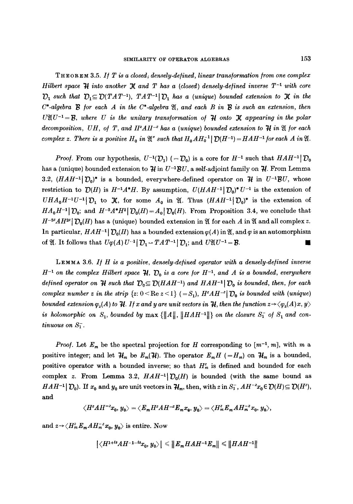THEOREM 3.5. If T is a closed, densely-defined, linear transformation from one complex *Hilbert space*  $H$  *into another*  $\mathcal{X}$  *and*  $T$  *has a (closed) densely-defined inverse*  $T^{-1}$  with core  $D_1$  such that  $D_1 \subseteq D(TAT^{-1}), TAT^{-1} | D_1$  has a (unique) bounded extension to  $\mathcal K$  in the  $C^*$ -algebra  $\mathcal B$  for each  $A$  in the  $C^*$ -algebra  $\mathfrak A$ , and each  $B$  in  $\mathcal B$  is such an extension, then  $U\mathfrak{A} U^{-1}=\mathfrak{B}$ , where U is the unitary transformation of  $\mathfrak{A}$  onto  $\mathfrak{X}$  appearing in the polar *decomposition, UH, of T, and*  $II^2AII^{-2}$  *has a (unique) bounded extension to*  $\mathcal{H}$  *in*  $\mathfrak A$  *for each complex z. There is a positive H<sub>0</sub> in*  $\mathfrak{A}$ *" such that*  $H_0 A H_0^{-1} | \mathcal{D}(H^{-1}) = H A H^{-1}$  *for each A in* .

*Proof.* From our hypothesis,  $U^{-1}(\mathcal{D}_1)$  (=  $\mathcal{D}_0$ ) is a core for  $H^{-1}$  such that  $HAH^{-1}[\mathcal{D}_0]$ has a (unique) bounded extension to  $\mathcal{H}$  in  $U^{-1}BU$ , a self-adjoint family on  $\mathcal{H}$ . From Lemma 3.2,  $(HAH^{-1}|\mathcal{D}_0)^*$  is a bounded, everywhere-defined operator on  $\mathcal{H}$  in  $U^{-1}BU$ , whose restriction to  $\mathcal{D}(H)$  is  $H^{-1}A^*H$ . By assumption,  $U(HAH^{-1}|\mathcal{D}_0)^*U^{-1}$  is the extension of  $UHA_0H^{-1}U^{-1}$   $D_1$  to  $\mathcal{X}$ , for some  $A_0$  in  $\mathcal{Y}$ . Thus  $(HAH^{-1}D_0)^*$  is the extension of  $HA_0H^{-1}|\mathcal{D}_0$ ; and  $H^{-2}A^*H^2|\mathcal{D}_0(H)=A_0|\mathcal{D}_0(H)$ . From Proposition 3.4, we conclude that  $H^{-2}AH^{2}$   $\mathcal{D}_0(H)$  has a (unique) bounded extension in  $\mathfrak A$  for each A in  $\mathfrak A$  and all complex z. In particular, *HAH*<sup>-1</sup>  $\mathcal{D}_0(H)$  has a bounded extension  $\varphi(A)$  in  $\mathfrak{A}$ , and  $\varphi$  is an automorphism of  $\mathfrak{A}$ . It follows that  $U\varphi(A) U^{-1} | \mathcal{D}_1 = TAT^{-1} | \mathcal{D}_1$ ; and  $U\mathfrak{A}U^{-1} = \mathcal{B}$ .

LEMMA 3.6. *11/ H is a positive, densely-de/ined operator with a densely-de/ined inverse*   $H^{-1}$  on the complex Hilbert space  $H$ ,  $D_0$  is a core for  $H^{-1}$ , and A is a bounded, everywhere *defined operator on*  $H$  such that  $D_0 \subseteq D(HAH^{-1})$  and  $HAH^{-1}$   $D_0$  is bounded, then, for each *complex number z in the strip*  $\{z: 0 \le \text{Re } z \le 1\}$   $(=S_1)$ ,  $H^z H^{-z} | \mathcal{D}_0$  is bounded with (unique) *bounded extension*  $\varphi_z(A)$  *to*  $H$ *. If x and y are unit vectors in*  $H$ *, then the function*  $z \rightarrow \langle \varphi_z(A)x, y \rangle$ *is holomorphic on*  $S_1$ , bounded by  $\max \{||A||, ||HAH^{-1}||\}$  on the closure  $S_1^-$  of  $S_1$  and con*tinuous on*  $S_1^-$ .

*Proof.* Let  $E_m$  be the spectral projection for H corresponding to  $[m^{-1}, m]$ , with m a positive integer; and let  $\mathcal{H}_m$  be  $E_m(\mathcal{H})$ . The operator  $E_mH$  (=H<sub>m</sub>) on  $\mathcal{H}_m$  is a bounded, positive operator with a bounded inverse; so that  $H_m^z$  is defined and bounded for each complex z. From Lemma 3.2,  $HAH^{-1}D_0(H)$  is bounded (with the same bound as *HAH*<sup>-1</sup>  $[$   $\mathcal{D}_0$ ). If  $x_0$  and  $y_0$  are unit vectors in  $\mathcal{H}_m$ , then, with z in  $S_1^-$ ,  $AH^{-2}x_0 \in \mathcal{D}(H) \subseteq \mathcal{D}(H^2)$ , and

$$
\langle H^z H^{z}^2 x_0, y_0 \rangle = \langle E_m H^z H^{z} H^{-z} E_m x_0, y_0 \rangle = \langle H_m^z E_m H_m^{z} x_0, y_0 \rangle,
$$

and  $z \rightarrow \langle H_m^z E_m A H_m^{-z} x_0, y_0 \rangle$  is entire. Now

$$
\left|\langle H^{1+is}AH^{-1-is}x_0,y_0\rangle\right|\leqslant \|E_mHAH^{-1}E_m\|\leqslant\|HAH^{-1}\|
$$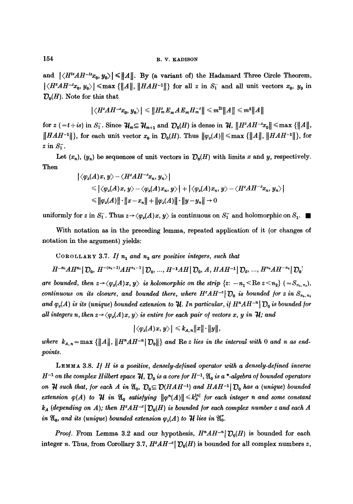and  $|\langle H^{is}AH^{-is}x_0, y_0\rangle| \leq ||A||$ . By (a variant of) the Hadamard Three Circle Theorem,  $|\langle H^2AH^{-2}x_0, y_0\rangle| \leq \max \{||A||, ||HAH^{-1}||\}$  for all z in  $S_1^-$  and all unit vectors  $x_0, y_0$  in  $\mathcal{D}_{0}(H)$ . Note for this that

$$
\left|\langle H^zAH^{-z}x_0,y_0\rangle\right|\leqslant\left\|H_m^zE_mAE_mH_m^{-z}\right\|\leqslant m^{2t}\left\|A\right\|\leqslant m^2\|A\|
$$

**for**  $z = t + is$  in  $S_1^-$ . Since  $\mathcal{H}_m \subseteq \mathcal{H}_{m+1}$  and  $\mathcal{D}_0(H)$  is dense in  $\mathcal{H}, \|H^tAH^{-x}x_0\| \leq \max\{||A||,||B||\}$  $\|HAH^{-1}\|$ , for each unit vector  $x_0$  in  $\mathcal{D}_0(H)$ . Thus  $\|\varphi_z(A)\| \leq \max \{||A||, ||HAH^{-1}||\}$ , for  $z$  in  $S_1^-$ .

Let  $(x_n)$ ,  $(y_n)$  be sequences of unit vectors in  $\mathcal{D}_0(H)$  with limits x and y, respectively. Then

$$
\begin{aligned}\n&\left|\langle\varphi_z(A)x,y\rangle-\langle H^zAH^{-z}x_n,y_n\rangle\right| \\
&\leqslant \left|\langle\varphi_z(A)x,y\rangle-\langle\varphi_z(A)x_n,y\rangle\right|+\left|\langle\varphi_z(A)x_n,y\rangle-\langle H^zAH^{-z}x_n,y_n\rangle\right| \\
&\leqslant \|\varphi_z(A)\|\cdot\|x-x_n\|+\|\varphi_z(A)\|\cdot\|y-y_n\|\to 0\n\end{aligned}
$$

uniformly for z in  $S_1^{\dagger}$ . Thus  $z \rightarrow \langle \varphi_z(A)x, y \rangle$  is continuous on  $S_1^{\dagger}$  and holomorphic on  $S_1$ .

With notation as in the preceding lemma, repeated application of it (or changes of notation in the argument) yields:

COROLLARY 3.7. If  $n_1$  and  $n_2$  are positive integers, such that

$$
H^{-n_1}AH^{n_1}\big|\mathcal{D}_0, H^{-(n_1-1)}AH^{n_1-1}\big|\mathcal{D}_0, ..., H^{-1}AH\big|\mathcal{D}_0, A, HAH^{-1}\big|\mathcal{D}_0, ..., H^{n_2}AH^{-n_1}\big|\mathcal{D}_0\big|
$$

*are bounded, then*  $z \rightarrow \langle \varphi_z(A)x, y \rangle$  *is holomorphic on the strip*  $\{z: -n_1 \leq \text{Re } z \leq n_2\}$   $(=S_{n_1,n_2}),$ *continuous on its closure, and bounded there, where*  $H^2AH^{-2}$   $\mathcal{D}_0$  *is bounded for z in*  $S_{n_1, n_2}$ *and*  $\varphi_z(A)$  *is its (unique) bounded extension to H. In particular, if*  $H^n A H^{-n}$   $\bigcup_n$  *is bounded for all integers n, then*  $z \rightarrow \langle \varphi_z(A)x, y \rangle$  *is entire for each pair of vectors x, y in H; and* 

$$
\big|\langle \varphi_z(A)x,\,y\rangle\big| \leqslant k_{A,\,n}\|x\|\cdot\|y\|,
$$

where  $k_{A,n} = \max \{||A||, ||H^n A H^{-n} |D_0||\}$  and Re *z* lies in the interval with 0 and n as end*points.* 

LEMMA 3.8. If H is a positive, densely-defined operator with a densely-defined inverse  $H^{-1}$  on the complex Hilbert space  $\mathcal{H}$ ,  $\mathcal{D}_0$  is a core for  $H^{-1}$ ,  $\mathfrak{A}_0$  is a \*-algebra of bounded operators *on*  $H$  such that, for each A in  $\mathfrak{A}_0$ ,  $\mathcal{D}_0 \subseteq \mathcal{D}(HAH^{-1})$  and  $HAH^{-1}$   $\mathcal{D}_0$  has a (unique) bounded *extension*  $\varphi(A)$  *to H* in  $\mathfrak{A}_0$  satisfying  $\|\varphi^n(A)\| \leq k_A^{n}$  for each integer n and some constant  $k_A$  (depending on A); then  $H^2AH^{-2}$   $\mathcal{D}_0(H)$  is bounded for each complex number z and each A *in*  $\mathfrak{A}_0$ *, and its (unique) bounded extension*  $\varphi_z(A)$  *to*  $\mathfrak{H}$  *lies in*  $\mathfrak{A}_0^r$ *.* 

*Proof.* From Lemma 3.2 and our hypothesis,  $H^nAH^{-n}$   $\mathcal{D}_0(H)$  is bounded for each integer n. Thus, from Corollary 3.7,  $H^zAH^{-z}$   $\mathcal{D}_0(H)$  is bounded for all complex numbers z,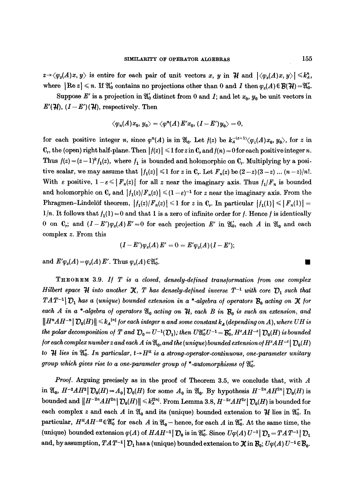$z \rightarrow \langle \varphi_z(A)x, y \rangle$  is entire for each pair of unit vectors x, y in  $\mathcal{H}$  and  $|\langle \varphi_z(A)x, y \rangle| \leq k_A^n$ , where  $| \text{Re } z | \le n$ . If  $\mathfrak{A}'_0$  contains no projections other than 0 and I then  $\varphi_z(A) \in \mathcal{B}(\mathcal{H}) = \mathfrak{A}''_0$ .

Suppose E' is a projection in  $\mathfrak{A}'_0$  distinct from 0 and I; and let  $x_0, y_0$  be unit vectors in  $E'(\mathcal{H}), (I - E')(\mathcal{H}),$  respectively. Then

$$
\langle \varphi_n(A)x_0, y_0 \rangle = \langle \varphi^n(A) E' x_0, (I - E') y_0 \rangle = 0,
$$

for each positive integer n, since  $\varphi^{n}(A)$  is in  $\mathfrak{A}_{0}$ . Let  $f(z)$  be  $k_{a}^{-(z+1)}\langle\varphi_{z}(A)x_{0}, y_{0}\rangle$ , for z in  $(C_r$ , the (open) right half-plane. Then  $|f(z)| \leq 1$  for z in  $C_r$  and  $f(n) = 0$  for each positive integer n. Thus  $f(z) = (z-1)^k f_1(z)$ , where  $f_1$  is bounded and holomorphic on  $C_r$ . Multiplying by a positive scalar, we may assume that  $|f_1(z)| \leq 1$  for z in  $\mathbb{C}_r$ . Let  $F_n(z)$  be  $(2-z)(3-z)$  ...  $(n-z)/n!$ . With  $\varepsilon$  positive,  $1-\varepsilon \leq |F_n(z)|$  for all z near the imaginary axis. Thus  $f_1/F_n$  is bounded and holomorphic on  $C_r$  and  $|f_1(z)/F_n(z)| \leq (1 - \varepsilon)^{-1}$  for z near the imaginary axis. From the Phragmen-Lindelöf theorem,  $|f_1(z)|F_n(z)| \leq 1$  for z in C<sub>r</sub>. In particular  $|f_1(1)| \leq |F_n(1)| =$  $1/n$ . It follows that  $f_1(1) = 0$  and that 1 is a zero of infinite order for f. Hence f is identically 0 on  $\mathbb{C}_r$ ; and  $(I-E')\varphi_z(A)E'=0$  for each projection E' in  $\mathfrak{A}'_0$ , each A in  $\mathfrak{A}_0$  and each complex z. From this

$$
(I-E')\varphi_z(A) E' = 0 = E'\varphi_z(A) (I-E');
$$

and  $E' \varphi_z(A) = \varphi_z(A) E'$ . Thus  $\varphi_z(A) \in \mathfrak{A}_0^{\prime}$ .

THEOREM 3.9. If T is a closed, densely-defined transformation from one complex *Hilbert space*  $\mathcal{H}$  *into another*  $\mathcal{K}$ , T has densely-defined inverse  $T^{-1}$  with core  $\mathcal{D}_1$  such that  $TAT^{-1}$   $\mathcal{D}_1$  has a (unique) bounded extension in a \*-algebra of operators  $\mathcal{B}_0$  acting on  $\mathcal K$  for each A in a \*-algebra of operators  $\mathfrak{A}_0$  acting on  $\mathfrak{H}$ , each B in  $\mathcal{B}_0$  is such an extension, and  $||H^nAH^{-n}||D_0(H)|| \leq k_A^{n_1}$  for each integer n and some constant  $k_A$  (depending on A), where UH is *the polar decomposition of T and*  $D_0 = U^{-1}(D_1)$ ; *then*  $U\mathfrak{A}_0^*U^{-1} = \mathcal{B}_0^*$ ,  $H^2AH^{-2} | D_0(H)$  is bounded *for each complex number z and each A in*  $\mathfrak{A}_0$ , and the (unique) bounded extension of  $H^2AH^{-2}|\mathcal{D}_0(H)|$ *to*  $H$  lies in  $\mathfrak{A}'_0$ . In particular,  $t \rightarrow H^{\text{tt}}$  is a strong-operator-continuous, one-parameter unitary *group which gives rise to a one-parameter group of \*-automorphisms of*  $\mathfrak{A}_0^{\prime\prime}$ .

*Proo/.* Arguing precisely as in the proof of Theorem 3.5, we conclude that, with A in  $\mathfrak{A}_0$ ,  $H^{-2}AH^2 | D_0(H)=A_0 | D_0(H)$  for some  $A_0$  in  $\mathfrak{A}_0$ . By hypothesis  $H^{-2n}AH^{2n} | D_0(H)$  is bounded and  $||H^{-2n}AH^{2n}||\mathcal{D}_0(H)|| \leq k^{2n}$ . From Lemma 3.8,  $H^{-2n}AH^{2n}||\mathcal{D}_0(H)$  is bounded for each complex z and each A in  $\mathfrak{A}_0$  and its (unique) bounded extension to  $\mathcal{H}$  lies in  $\mathfrak{A}'_0$ . In particular,  $H^{it}AH^{-it}\in\mathfrak{A}_0^*$  for each A in  $\mathfrak{A}_0$  - hence, for each A in  $\mathfrak{A}_0^*$ . At the same time, the (unique) bounded extension  $\varphi(A)$  of  $HAH^{-1}$   $\mathcal{D}_0$  is in  $\mathfrak{A}_0^{\prime\prime}$ . Since  $U\varphi(A) U^{-1}$   $\mathcal{D}_1 = TAT^{-1}$   $\mathcal{D}_1$ and, by assumption,  $TAT^{-1}$   $\mathcal{D}_1$  has a (unique) bounded extension to  $\mathcal{X}$  in  $\mathcal{B}_0$ ;  $U\varphi(A) U^{-1} \in \mathcal{B}_0$ .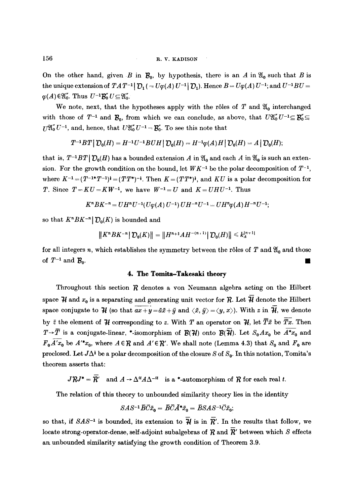On the other hand, given B in  $\mathcal{B}_0$ , by hypothesis, there is an A in  $\mathfrak{A}_0$  such that B is the unique extension of  $TAT^{-1}|\mathcal{D}_1(=U\varphi(A) U^{-1}|\mathcal{D}_1).$  Hence  $B=U\varphi(A) U^{-1}$ ; and  $U^{-1}BU=0$  $\varphi(A) \in \mathfrak{A}_0''$ . Thus  $U^{-1}B_0'' U \subseteq \mathfrak{A}_0''$ .

We note, next, that the hypotheses apply with the rôles of T and  $\mathfrak{A}_0$  interchanged with those of  $T^{-1}$  and  $\mathcal{B}_0$ , from which we can conclude, as above, that  $U\mathfrak{A}_0^{\prime\prime}U^{-1}\subseteq\mathcal{B}_0^{\prime}\subseteq$  $U^{2}U^{''}_{0}U^{-1}$ , and, hence, that  $U^{2}U^{''}_{0}U^{-1} - \mathcal{B}'_{0}$ . To see this note that

$$
T^{-1}BT|_{\mathcal{D}_0(H)}=H^{-1}U^{-1}BUH|_{\mathcal{D}_0(H)}=H^{-1}\varphi(A)H|_{\mathcal{D}_0(H)}=A|_{\mathcal{D}_0(H)};
$$

that is,  $T^{-1}BT|| \mathcal{D}_0(H)$  has a bounded extension A in  $\mathfrak{A}_0$  and each A in  $\mathfrak{A}_0$  is such an extension. For the growth condition on the bound, let  $WK^{-1}$  be the polar decomposition of  $T^{-1}$ , where  $K^{-1} = (T^{-1*}T^{-1})^{\dagger} = (TT^{**})^{-1}$ . Then  $K = (TT^{**})^{\dagger}$ , and KU is a polar decomposition for *T*. Since  $T = KU = KW^{-1}$ , we have  $W^{-1} = U$  and  $K = UHU^{-1}$ . Thus

$$
K^{n}BK^{-n} = UH^{n}U^{-1}(U\varphi(A) U^{-1}) UH^{-n}U^{-1} = UH^{n}\varphi(A) H^{-n}U^{-1};
$$

so that  $K^n B K^{-n} | \mathcal{D}_0(K)$  is bounded and

$$
||K^n B K^{-n}||D_0(K)|| = ||H^{n+1} A H^{-(n+1)}||D_0(H)|| \leq k_A^{|n+1|}
$$

for all integers *n*, which establishes the symmetry between the rôles of T and  $\mathfrak{A}_0$  and those of  $T^{-1}$  and  $\mathcal{B}_0$ .

## **4. The Tomita-Takesaki theory**

Throughout this section  $\mathcal R$  denotes a von Neumann algebra acting on the Hilbert space  $\mathcal H$  and  $x_0$  is a separating and generating unit vector for  $\mathcal R$ . Let  $\overline{\mathcal H}$  denote the Hilbert space conjugate to  $\mathcal H$  (so that  $\overline{ax+y}=\bar a\bar x+\bar y$  and  $\langle \bar x, \bar y\rangle =\langle y, x\rangle$ ). With z in  $\overline{\mathcal H}$ , we denote by  $\bar{z}$  the element of  $\bar{\mathcal{H}}$  corresponding to z. With T an operator on  $\bar{\mathcal{H}}$ , let  $\bar{T}\bar{x}$  be  $\bar{T}\bar{x}$ . Then  $T\rightarrow\overline{T}$  is a conjugate-linear, \*-isomorphism of  $\mathcal{B}(\mathcal{H})$  onto  $\mathcal{B}(\overline{\mathcal{H}})$ . Let  $S_0Ax_0$  be  $\overline{A^*x_0}$  and  $F_0 \widetilde{A'x_0}$  be  $A'^*x_0$ , where  $A \in \mathcal{R}$  and  $A' \in \mathcal{R}'$ . We shall note (Lemma 4.3) that  $S_0$  and  $F_0$  are preclosed. Let  $J\Delta^{\dagger}$  be a polar decomposition of the closure S of  $S_0$ . In this notation, Tomita's theorem asserts that:

 $J^{\prime}RJ^{\ast} = \overline{R}'$  and  $A \rightarrow \Delta^{it}A\Delta^{-it}$  is a \*-automorphism of  $R$  for each real t.

The relation of this theory to unbounded similarity theory lies in the identity

$$
SAS^{-1}\overline{B}\overline{C}\overline{x}_0 = \overline{B}\overline{C}\overline{A}^*\overline{x}_0 = \overline{B}SAS^{-1}\overline{C}\overline{x}_0;
$$

so that, if *SAS<sup>-1</sup>* is bounded, its extension to  $\overline{\mathcal{H}}$  is in  $\overline{R}'$ . In the results that follow, we locate strong-operator-dense, self-adjoint subalgebras of  $R$  and  $\overline{R}'$  between which  $S$  effects an unbounded similarity satisfying the growth condition of Theorem 3.9.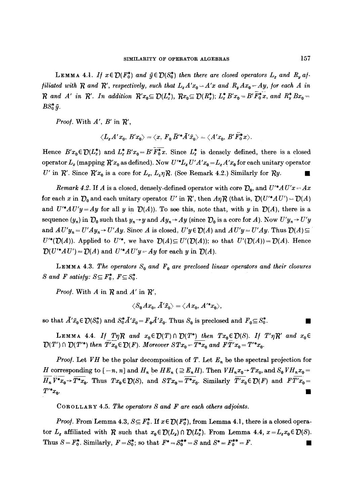**LEMMA 4.1.** If  $x \in \mathcal{D}(F_0^*)$  and  $\bar{y} \in \mathcal{D}(S_0^*)$  then there are closed operators L, and R<sub>y</sub> af*filiated with*  $R$  and  $R'$ , respectively, such that  $L_x A'x_0 = A'x$  and  $R_y A x_0 = Ay$ , for each A in *R* and *A'* in *R'*. In addition  $R'x_0 \text{ }\subseteq \text{ }D(L^*_x)$ ,  $Rx_0 \text{ }\subseteq \text{ }D(R^*_y)$ ;  $L^*_x B'x_0 = B'F_0^*x$ , and  $R^*_y Bx_0 =$  $BS_0^*\bar{y}$ .

*Proof.* With  $A'$ ,  $B'$  in  $\mathcal{R}'$ ,

$$
\langle L_x A' x_0, B' x_0 \rangle = \langle x, F_0 \overline{B}'^* \overline{A}' \overline{x}_0 \rangle = \langle A' x_0, B' \overline{F}_0^* x \rangle.
$$

Hence  $B'x_0 \in \mathcal{D}(L^*_x)$  and  $L^*_x B'x_0 = B'\overline{F^*_0}x$ . Since  $L^*_x$  is densely defined, there is a closed operator  $L_x$  (mapping  $R'x_0$  as defined). Now  $U''L_x U'A'x_0 = L_x A'x_0$  for each unitary operator *U'* in  $\mathcal{R}'$ . Since  $\mathcal{R}'x_0$  is a core for  $L_z$ ,  $L_z\eta\mathcal{R}$ . (See Remark 4.2.) Similarly for  $\mathcal{R}y$ .

*Remark 4.2.* If A is a closed, densely-defined operator with core  $D_0$ , and  $U'^*AU'x - Ax$ for each x in  $\mathcal{D}_0$  and each unitary operator U' in  $\mathcal{R}'$ , then  $A\eta\mathcal{R}$  (that is,  $\mathcal{D}(U'^*AU') = \mathcal{D}(A)$ and  $U'^*AU'y = Ay$  for all y in  $\mathcal{D}(A)$ ). To see this, note that, with y in  $\mathcal{D}(A)$ , there is a sequence  $(y_n)$  in  $\mathcal{D}_0$  such that  $y_n \rightarrow y$  and  $Ay_n \rightarrow Ay$  (since  $\mathcal{D}_0$  is a core for A). Now  $U'y_n \rightarrow U'y$ and  $A U' y_n = U' A y_n \rightarrow U' A y$ . Since A is closed,  $U' y \in D(A)$  and  $A U' y = U' A y$ . Thus  $D(A) \subseteq$  $U^*(\mathcal{D}(A))$ . Applied to  $U^*(\mathcal{D}(A)) \subseteq U'(\mathcal{D}(A))$ ; so that  $U'(\mathcal{D}(A)) = \mathcal{D}(A)$ . Hence  $\mathcal{D}(U^*AU') = \mathcal{D}(A)$  and  $U^*AU'y = Ay$  for each y in  $\mathcal{D}(A)$ .

LEMMA 4.3. The operators  $S_0$  and  $F_0$  are preclosed linear operators and their closures *S* and *F* satisfy:  $S \subseteq F_0^*$ ,  $F \subseteq S_0^*$ .

*Proof.* With  $A$  in  $R$  and  $A'$  in  $R'$ ,

$$
\langle S_0 A x_0, A' \bar{x}_0 \rangle = \langle A x_0, A'^* x_0 \rangle,
$$

so that  $\bar{A}'\bar{x}_0 \in \mathcal{D}(S_0^*)$  and  $S_0^* \bar{A}'\bar{x}_0 = F_0 \bar{A}'\bar{x}_0$ . Thus  $S_0$  is preclosed and  $F_0 \subseteq S_0^*$ .

LEMMA 4.4. *If*  $T\eta R$  *and*  $x_0 \in \mathcal{D}(T) \cap \mathcal{D}(T^*)$  then  $Tx_0 \in \mathcal{D}(S)$ . *If*  $T'\eta R'$  *and*  $x_0 \in$  $\mathcal{D}(T') \cap \mathcal{D}(T'^*)$  *then*  $T'x_0 \in \mathcal{D}(F)$ *. Moreover*  $STx_0 = T^*x_0$  *and*  $FT'x_0 = T'^*x_0$ *.* 

*Proof.* Let VH be the polar decomposition of T. Let  $E_n$  be the spectral projection for H corresponding to  $[-n, n]$  and  $H_n$  be  $HE_n \ (\geq E_n H)$ . Then  $V H_n x_0 \rightarrow Tx_0$ , and  $S_0 V H_n x_0 =$  $\overline{H_n}\overline{V^*x_0} \rightarrow \overline{T^*x_0}$ . Thus  $Tx_0 \in \mathcal{D}(S)$ , and  $STx_0 = \overline{T^*x_0}$ . Similarly  $\overline{T'x_0} \in \mathcal{D}(F)$  and  $\overline{FT'x_0} =$  $T^{**}x_0$ .

COROLLARY 4.5. *The operators S and F are each others ad]oints.* 

*Proof.* From Lemma 4.3,  $S \subseteq F_0^*$ . If  $x \in \mathcal{D}(F_0^*)$ , from Lemma 4.1, there is a closed operator  $L_z$  affiliated with R such that  $x_0 \in D(L_z) \cap D(L_z^*)$ . From Lemma 4.4,  $x = L_z x_0 \in D(S)$ . Thus  $S = F_0^*$ . Similarly,  $F = S_0^*$ ; so that  $F^* = S_0^{**} = S$  and  $S^* = F_0^{**} = F$ .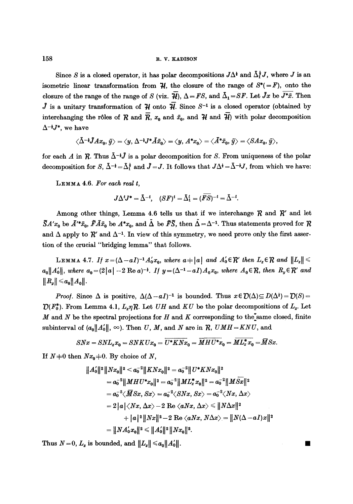158 R.V. KADISON

Since S is a closed operator, it has polar decompositions  $J\Delta^*$  and  $\bar{\Delta}^*_i J$ , where J is an isometric linear transformation from  $\mathcal{H}$ , the closure of the range of  $S^*(-F)$ , onto the closure of the range of the range of S (viz.  $\overline{\mathcal{H}}$ ),  $\Delta = FS$ , and  $\overline{\Delta}_1 = SF$ . Let  $\overline{J}x$  be  $\overline{J^*\bar{x}}$ . Then  $\tilde{J}$  is a unitary transformation of  $\mathcal{H}$  onto  $\tilde{\mathcal{H}}$ . Since  $S^{-1}$  is a closed operator (obtained by interchanging the rôles of  $R$  and  $\overline{R}$ ,  $x_0$  and  $\overline{x}_0$ , and  $\overline{\mathcal{H}}$  and  $\overline{\mathcal{H}}$ ) with polar decomposition  $\Delta^{-\frac{1}{2}}J^*$ , we have

$$
\langle\bar{\Delta}^{-1}\tilde{J}Ax_0,\bar{y}\rangle=\langle y,\Delta^{-1}J^*\tilde{A}\bar{x}_0\rangle=\langle y,A^*x_0\rangle=\langle\bar{A}^*\bar{x}_0,\bar{y}\rangle=\langle SAx_0,\bar{y}\rangle,
$$

for each A in  $\mathcal R$ . Thus  $\bar{\Delta}^{-1}$  is a polar decomposition for S. From uniqueness of the polar decomposition for S,  $\bar{\Delta}^{-\frac{1}{2}} = \bar{\Delta}^{\frac{1}{2}}_1$  and  $\tilde{J} = J$ . It follows that  $J\Delta^{\frac{1}{2}} = \bar{\Delta}^{-\frac{1}{2}}J$ , from which we have:

LEMMA 4.6. *For each real t,* 

$$
J\Delta^tJ^*=\bar{\Delta}^{-t},\quad (SF)^t=\bar{\Delta}^t_1=(\overline{FS})^{-t}=\bar{\Delta}^{-t}.
$$

Among other things, Lemma 4.6 tells us that if we interchange  $R$  and  $R'$  and let  $\tilde{S}A'x_0$  be  $\tilde{A}''\bar{x_0}$ ,  $\tilde{F}\tilde{A}\bar{x_0}$  be  $A^*x_0$ , and  $\tilde{\Delta}$  be  $\tilde{F}\tilde{S}$ , then  $\tilde{\Delta}=\Delta^{-1}$ . Thus statements proved for  $\mathcal R$ and  $\Delta$  apply to  $\mathcal{R}'$  and  $\Delta^{-1}$ . In view of this symmetry, we need prove only the first assertion of the crucial "bridging lemma" that follows.

LEMMA 4.7. If  $x=(\Delta-aI)^{-1}A'_0x_0$ , where  $a+|a|$  and  $A'_0 \in \mathcal{R}'$  then  $L_x \in \mathcal{R}$  and  $||L_x|| \le$  $a_0||A'_0||$ , where  $a_0 = (2|a| - 2 \text{ Re } a)^{-1}$ . If  $y = (\Delta^{-1} - aI)A_0x_0$ , where  $A_0 \in \mathcal{R}$ , then  $R_y \in \mathcal{R}'$  and  $||R_y|| \leqslant a_0 ||A_0||.$ 

*Proof.* Since  $\Delta$  is positive,  $\Delta(\Delta - aI)^{-1}$  is bounded. Thus  $x \in \mathcal{D}(\Delta) \subseteq D(\Delta^3) = \mathcal{D}(S) =$  $\mathcal{D}(F_0^*)$ . From Lemma 4.1,  $L_z \eta \mathcal{R}$ . Let *UH* and *KU* be the polar decompositions of  $L_z$ . Let M and N be the spectral projections for H and K corresponding to the same closed, finite subinterval of  $(a_0||A'_0||, \infty)$ . Then U, M, and N are in  $R$ , UMH=KNU, and

$$
SNx = SNL_x x_0 = SNK U x_0 = \overline{U^* K N x_0} = \overline{MHU^* x_0} = \overline{ML_x^* x_0} = \overline{M} Sx.
$$

If  $N+0$  then  $Nx_0+0$ . By choice of N,

$$
||A'_0||^2 ||Nx_0||^2 < a_0^{-2} ||KNx_0||^2 = a_0^{-2} ||U^*KNx_0||^2
$$
  
\n
$$
= a_0^{-2} ||MHU^*x_0||^2 = a_0^{-2} ||ML_x^*x_0||^2 = a_0^{-2} ||M\overline{Sx}||^2
$$
  
\n
$$
= a_0^{-2} \langle \overline{M}Sx, Sx \rangle = a_0^{-2} \langle SNx, Sx \rangle = a_0^{-2} \langle Nx, \Delta x \rangle
$$
  
\n
$$
= 2 |a| \langle Nx, \Delta x \rangle - 2 \text{ Re } \langle aNx, \Delta x \rangle \le ||N\Delta x||^2
$$
  
\n
$$
+ |a|^2 ||Nx||^2 - 2 \text{ Re } \langle aNx, N\Delta x \rangle = ||N(\Delta - aI)x||^2
$$
  
\n
$$
= ||NA'_0x_0||^2 \le ||A'_0||^2 ||Nx_0||^2.
$$

Thus  $N=0, L_x$  is bounded, and  $||L_x|| \le a_0 ||A'_0||$ .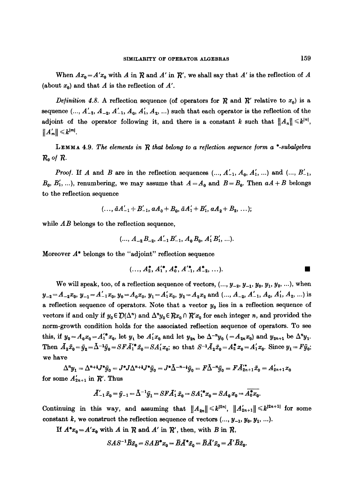When  $Ax_0 = A'x_0$  with A in  $\mathcal R$  and A' in  $\mathcal R'$ , we shall say that A' is the reflection of A (about  $x_0$ ) and that A is the reflection of A'.

*Definition 4.8.* A reflection sequence (of operators for R and R' relative to  $x_0$ ) is a sequence  $(..., A'_{-3}, A_{-2}, A'_{-1}, A_0, A'_1, A_2, ...)$  such that each operator is the reflection of the adjoint of the operator following it, and there is a constant k such that  $||A_n|| \leq k^{|n|}$ ,  $||A'_m|| \leq k^{|m|}$ .

LEMMA 4.9. *The elements in*  $R$  that belong to a reflection sequence form  $a^*$ -subalgebra **Re o/R.** 

*Proof.* If A and B are in the reflection sequences  $( ..., A'_{-1}, A_0, A'_1, ... )$  and  $( ..., B'_{-1}, A'_{-1}, A'_{-1}, A'_{-1})$  $B_0, B'_1, \ldots$ , renumbering, we may assume that  $A = A_0$  and  $B = B_0$ . Then  $aA + B$  belongs to the reflection sequence

$$
(..., \bar{a}A'_{-1}+B'_{-1}, aA_0+B_0, \bar{a}A'_1+B'_1, aA_2+B_2,...);
$$

while  $AB$  belongs to the reflection sequence,

$$
(..., A_{-2}B_{-2}, A'_{-1}B'_{-1}, A_0B_0, A'_1B'_1, ...).
$$

Moreover  $A^*$  belongs to the "adjoint" reflection sequence

$$
(..., A2*, A'1*, A0*, A'-1*, A-2*, ...).
$$

We will speak, too, of a reflection sequence of vectors,  $(..., y_{-2}, y_{-1}, y_0, y_1, y_2, ...)$ , when  $y_{-2} = A_{-2}x_0$ ,  $y_{-1} = A'_{-1}x_0$ ,  $y_0 = A_0x_0$ ,  $y_1 = A'_1x_0$ ,  $y_2 = A_2x_2$  and  $( ..., A_{-2}, A'_{-1}, A_0, A'_1, A_2, ... )$  is a reflection sequence of operators. Note that a vector  $y_0$  lies in a reflection sequence of vectors if and only if  $y_0 \in \mathcal{D}(\Delta^n)$  and  $\Delta^n y_0 \in \mathcal{R}x_0 \cap \mathcal{R}'x_0$  for each integer n, and provided the norm-growth condition holds for the associated reflection sequence of operators. To see this, if  $y_0 = A_0 x_0 = A_1'^* x_0$ , let  $y_1$  be  $A_1' x_0$  and let  $y_{2n}$  be  $\Delta^{-n} y_0$  ( $=A_{2n} x_0$ ) and  $y_{2n+1}$  be  $\Delta^{n} y_1$ . Then  $\bar{A}_2\bar{x}_0 = \bar{y}_2 = \bar{\Delta}^{-1}\bar{y}_0 = SFA_1'\bar{x}_0 = SA_1'x_0;$  so that  $S^{-1}\bar{A}_2\bar{x}_0 = A_2^*\bar{x}_0 = A_1'x_0$ . Since  $y_1 = F\bar{y}_0;$ we have

 $\Delta^{n}y_{1} = \Delta^{n+1}J^{*}\bar{y}_{0} = J^{*}J\Delta^{n+1}J^{*}\bar{y}_{0} = J^{*}\bar{\Delta}^{-n-1}\bar{y}_{0} = F\bar{\Delta}^{-n}\bar{y}_{0} = FA'^{*}_{2n+1}\bar{x}_{0} = A'_{2n+1}x_{0}$ for some  $A'_{2n+1}$  in  $\mathcal{R}'$ . Thus

$$
A'_{-1}\bar{x}_0 = \bar{y}_{-1} = \bar{\Delta}^{-1}\bar{y}_1 = SFA'_1\bar{x}_0 = SA'^*_1x_0 = SA_0x_0 = \bar{A}_0^*x_0.
$$

Continuing in this way, and assuming that  $||A_{2n}|| \le k^{|2n|}$ ,  $||A'_{2n+1}|| \le k^{|2n+1|}$  for some constant k, we construct the reflection sequence of vectors  $( ..., y_{-1}, y_0, y_1, ... ).$ 

If  $A^*x_0 = A'x_0$  with A in  $R$  and A' in  $R'$ , then, with B in  $R$ ,

$$
SAS^{-1}\overline{B}\overline{x}_0 = SAB^*x_0 = \overline{B}\overline{A}^*\overline{x}_0 = \overline{B}\overline{A}'\overline{x}_0 = \overline{A}'\overline{B}\overline{x}_0.
$$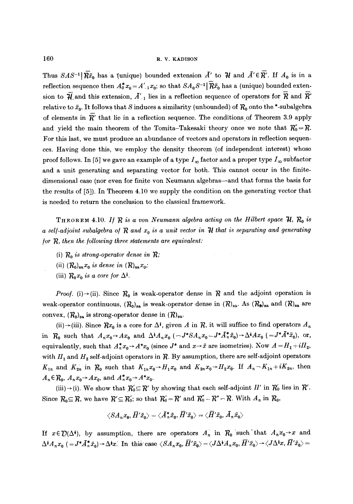Thus  $SAS^{-1}|\overline{Rx}_0|$  has a (unique) bounded extension  $\overline{A}'$  to  $\overline{\mathcal{H}}$  and  $\overline{A}' \in \overline{R}'$ . If  $A_0$  is in a reflection sequence then  $A_0^* x_0 = A'_{-1} x_0$ ; so that  $SA_0 S^{-1}[\overline{R} \bar{x}_0]$  has a (unique) bounded extension to  $\overline{\mathcal{H}}$  and this extension,  $\overline{A'}_1$  lies in a reflection sequence of operators for  $\overline{R}$  and  $\overline{R'}$ relative to  $\bar{x}_0$ . It follows that S induces a similarity (unbounded) of  $\mathcal{R}_0$  onto the \*-subalgebra of elements in  $\overline{R}'$  that lie in a reflection sequence. The conditions of Theorem 3.9 apply and yield the main theorem of the Tomita-Takesaki theory once we note that  $R_0-FR$ . For this last, we must produce an abundance of vectors and operators in reflection sequences. Having done this, we employ the density theorem '(of independent interest) whose proof follows. In [5] we gave an example of a type  $I_{\infty}$  factor and a proper type  $I_{\infty}$  subfactor and a unit generating and separating vector for both. This cannot occur in the finitedimensional case (nor even for finite yon Neumann algebras--and that forms the basis for the results of [5]). In Theorem 4.10 we supply the condition on the generating vector that is needed to return the conclusion to the classical framework.

THEOREM 4.10. If  $R$  is a von Neumann algebra acting on the Hilbert space  $H, R_0$  is *a self-adjoint subalgebra of*  $R$  *and*  $x<sub>0</sub>$  *is a unit vector in*  $H$  *that is separating and generating for R, then the following three statements are equivalent:* 

- (i)  $R_0$  *is strong-operator dense in*  $R$ ;
- (ii)  $(R_0)_{sa} x_0$  *is dense in*  $(R)_{sa} x_0$ ;
- (iii)  $R_0x_0$  *is a core for*  $\Delta^1$ .

*Proof.* (i) $\rightarrow$ (ii). Since  $R_0$  is weak-operator dense in R and the adjoint operation is weak-operator continuous,  $(R_0)_{sa}$  is weak-operator dense in  $(R)_{sa}$ . As  $(R_0)_{sa}$  and  $(R)_{sa}$  are convex,  $(R_0)_{sa}$  is strong-operator dense in  $(R)_{sa}$ .

(ii) $\rightarrow$ (iii). Since  $Rx_0$  is a core for  $\Delta^1$ , given A in R, it will suffice to find operators  $A_n$ in  $R_0$  such that  $A_nx_0 \to Ax_0$  and  $\Delta^i A_nx_0$  ( $=J^*SA_nx_0 = J^*A_n^*\bar{x}_0 \to \Delta^i Ax_0$  ( $=J^*A^*\bar{x}_0$ ), or, equivalently, such that  $A_n^* x_0 \to A^* x_0$  (since  $J^*$  and  $x \to \bar{x}$  are isometries). Now  $A = H_1 + iH_2$ , with  $H_1$  and  $H_2$  self-adjoint operators in  $\mathcal{R}$ . By assumption, there are self-adjoint operators  $K_{1n}$  and  $K_{2n}$  in  $\mathcal{R}_0$  such that  $K_{1n}x_0 \rightarrow H_1x_0$  and  $K_{2n}x_0 \rightarrow H_2x_0$ . If  $A_n - K_{1n} + iK_{2n}$ , then  $A_n \in \mathcal{R}_0$ ,  $A_n x_0 \rightarrow Ax_0$ , and  $A_n^* x_0 \rightarrow A^* x_0$ .

(iii) $\rightarrow$  (i). We show that  $R'_0 \subseteq R'$  by showing that each self-adjoint H' in  $R'_0$  lies in  $R'$ . Since  $R_0 \subseteq R$ , we have  $R' \subseteq R'_0$ ; so that  $R'_0 = R'$  and  $R''_0 = R'' = R'$ . With  $A_n$  in  $R_0$ ,

$$
\langle S A_n x_0, \overline{H}' \bar{x}_0 \rangle = \langle A_n^* \bar{x}_0, \overline{H}' \bar{x}_0 \rangle = \langle \overline{H}' \bar{x}_0, A_n \bar{x}_0 \rangle
$$

If  $x \in \mathcal{D}(\Delta^*)$ , by assumption, there are operators  $A_n$  in  $\mathcal{R}_0$  such that  $A_n x_0 \to x$  and  $\Delta^{\dagger}A_n x_0$  (  $=J^* \bar{A}_n^* \bar{x}_0 \rightarrow \Delta^{\dagger} x$ . In this case  $\langle S A_n x_0, \bar{H}' \bar{x}_0 \rangle = \langle J \Delta^{\dagger} A_n x_0, \bar{H}' \bar{x}_0 \rangle \rightarrow \langle J \Delta^{\dagger} x, \bar{H}' \bar{x}_0 \rangle =$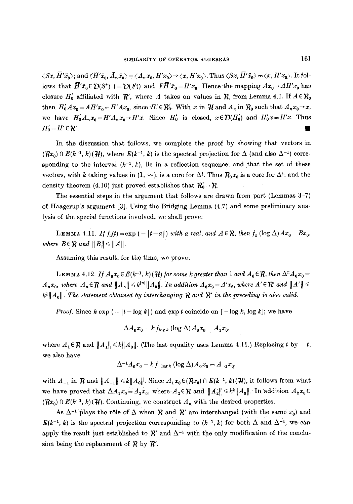$\langle Sx, \overline{H}'\bar{x}_0\rangle$ ; and  $\langle \overline{H}'\bar{x}_0, \overline{A}_n\bar{x}_0\rangle = \langle A_n x_0, H'x_0\rangle \rightarrow \langle x, H'x_0\rangle$ . Thus  $\langle Sx, \overline{H}'\bar{x}_0\rangle = \langle x, H'x_0\rangle$ . It follows that  $\overline{H}'\overline{x}_0 \in \mathcal{D}(S^*)$  (=  $\mathcal{D}(F)$ ) and  $F\overline{H}'\overline{x}_0 = H'x_0$ . Hence the mapping  $Ax_0 \to A H'x_0$  has closure  $H'_0$  affiliated with  $\mathcal{R}'$ , where A takes on values in  $\mathcal{R}$ , from Lemma 4.1. If  $A \in \mathcal{R}_0$ then  $H'_0Ax_0 = AH'x_0 - H'Ax_0$ , since  $H' \in \mathcal{R}'_0$ . With x in  $\mathcal{H}$  and  $A_n$  in  $\mathcal{R}_0$  such that  $A_nx_0 \rightarrow x$ , we have  $H'_0A_nx_0 = H'A_nx_0 \rightarrow H'x$ . Since  $H'_0$  is closed,  $x \in \mathcal{D}(H'_0)$  and  $H'_0x = H'x$ . Thus  $H'_{0} = H' \in \mathcal{R}'$ .

In the discussion that follows, we complete the proof by showing that vectors in  $({\cal R}x_0) \cap E(k^{-1}, k)(\bar{\cal H})$ , where  $E(k^{-1}, k)$  is the spectral projection for  $\Delta$  (and also  $\Delta^{-1}$ ) corresponding to the interval  $(k^{-1}, k)$ , lie in a reflection sequence; and that the set of these vectors, with k taking values in  $(1, \infty)$ , is a core for  $\Delta^i$ . Thus  $\mathcal{R}_0 x_0$  is a core for  $\Delta^i$ ; and the density theorem (4.10) just proved establishes that  $\mathcal{R}_0^r - \mathcal{R}$ .

The essential steps in the argument that follows are drawn from part (Lemmas 3-7) of Haagerup's argument [3]. Using the Bridging Lemma (4.7) and some preliminary analysis of the special functions involved, we shall prove:

LEMMA 4.11. *If*  $f_a(t) = \exp(-|t-a|)$  *with a real, and*  $A \in \mathcal{R}$ , then  $f_a$  (log  $\Delta$ ) $Ax_0 = Bx_0$ , *where*  $B \in \mathbb{R}$  and  $||B|| \le ||A||$ .

Assuming this result, for the time, we prove:

LEMMA 4.12. *If*  $A_0x_0 \in E(k^{-1}, k)(\mathcal{H})$  for some k greater than 1 and  $A_0 \in \mathcal{R}$ , then  $\Delta^n A_0x_0 =$  $A_n x_0$ , where  $A_n \in \mathcal{R}$  and  $||A_n|| \leq k^{|n|} ||A_0||$ . In addition  $A_0 x_0 = A' x_0$ , where  $A' \in \mathcal{R}'$  and  $||A'|| \leq$  $||k^*||/||A_0||$ . The statement obtained by interchanging  $R$  and  $R'$  in the preceding is also valid.

*Proof.* Since  $k \exp(-|t - \log k|)$  and  $\exp t$  coincide on  $[-\log k, \log k]$ ; we have

$$
\Delta A_0 x_0 = k f_{\log k} (\log \Delta) A_0 x_0 = A_1 x_0,
$$

where  $A_1 \in \mathcal{R}$  and  $||A_1|| \le k||A_0||$ . (The last equality uses Lemma 4.11.) Replacing t by  $-t$ , we also have

$$
\Delta^{-1}A_0x_0 - k f_{-\log k} (\log \Delta) A_0x_0 - A_{-1}x_0,
$$

with  $A_{-1}$  in R and  $||A_{-1}|| \le k||A_0||$ . Since  $A_1x_0 \in (Rx_0) \cap E(k^{-1}, k)(\mathcal{H})$ , it follows from what we have proved that  $\Delta A_1 x_0 = A_2 x_0$ , where  $A_2 \in \mathbb{R}$  and  $||A_2|| \leq k^2 ||A_0||$ . In addition  $A_2 x_0 \in$  $(Rx_0) \cap E(k^{-1}, k)(\mathcal{H})$ . Continuing, we construct  $A_n$  with the desired properties.

As  $\Delta^{-1}$  plays the rôle of  $\Delta$  when R and R' are interchanged (with the same  $x_0$ ) and  $E(k^{-1}, k)$  is the spectral projection corresponding to  $(k^{-1}, k)$  for both  $\Delta$  and  $\Delta^{-1}$ , we can apply the result just established to  $\mathcal{R}'$  and  $\Delta^{-1}$  with the only modification of the conclusion being the replacement of  $R$  by  $R'$ .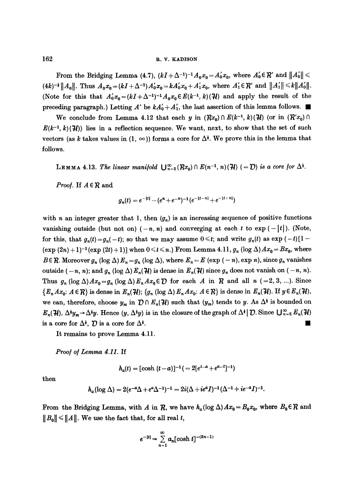From the Bridging Lemma (4.7),  $(kI+\Delta^{-1})^{-1}A_0x_0=A'_0x_0$ , where  $A'_0 \in \mathcal{R}'$  and  $||A'_0|| \le$  $(4k)^{-\frac{1}{2}} \|A_0\|$ . Thus  $A_0x_0 = (kI + \Delta^{-1})A_0x_0 = kA_0x_0 + A_1x_0$ , where  $A_1 \in \mathcal{R}'$  and  $\|A_1'\| \le k \|A_0'\|$ . (Note for this that  $A_0'x_0 = (kI + \Delta^{-1})^{-1}A_0x_0 \in E(k^{-1}, k)(\mathcal{H})$  and apply the result of the preceding paragraph.) Letting A' be  $kA'_0 + A'_1$ , the last assertion of this lemma follows.

We conclude from Lemma 4.12 that each y in  $(\mathcal{R}x_0) \cap E(k^{-1}, k)(\mathcal{H})$  (or in  $(\mathcal{R}'x_0) \cap$  $E(k^{-1}, k)(\mathcal{H})$  lies in a reflection sequence. We want, next, to show that the set of such vectors (as k takes values in  $(1, \infty)$ ) forms a core for  $\Delta^i$ . We prove this in the lemma that follows.

LEMMA 4.13. The linear manifold  $\bigcup_{n=2}^{\infty} (Rx_0) \cap E(n^{-1}, n)(\mathcal{H})$  (=  $\mathcal{D}$ ) is a core for  $\Delta^{\frac{1}{2}}$ .

*Proof.* If  $A \in \mathbb{R}$  and

$$
g_n(t) = e^{-|t|} - (e^n + e^{-n})^{-1} (e^{-|t-n|} + e^{-|t+n|})
$$

with n an integer greater that 1, then  $(g_n)$  is an increasing sequence of positive functions vanishing outside (but not on)  $(-n, n)$  and converging at each t to exp( $-\lceil t \rceil$ ). (Note, for this, that  $g_n(t) = g_n(-t)$ ; so that we may assume  $0 \le t$ ; and write  $g_n(t)$  as  $\exp(-t)[1 (\exp{(2n)} + 1)^{-1} (\exp{(2t)} + 1)]$  when  $0 \le t \le n$ .) From Lemma 4.11,  $g_n (\log \Delta) Ax_0 = Bx_0$ , where  $B \in \mathcal{R}$ . Moreover  $g_n (\log \Delta) E_n = g_n (\log \Delta)$ , where  $E_n = E (\exp (-n), \exp n)$ , since  $g_n$  vanishes outside  $(-n, n)$ ; and  $g_n (\log \Delta) E_n(\mathcal{H})$  is dense in  $E_n(\mathcal{H})$  since  $g_n$  does not vanish on  $(-n, n)$ . Thus  $g_n (\log \Delta) Ax_0 = g_n (\log \Delta) E_n Ax_0 \in \mathcal{D}$  for each A in  $\mathcal{R}$  and all  $n (=2, 3, ...)$ . Since  ${E_n A x_0: A \in \mathcal{R}}$  is dense in  $E_n(\mathcal{H}); {g_n (\log \Delta) E_n A x_0: A \in \mathcal{R}}$  is dense in  $E_n(\mathcal{H}).$  If  $y \in E_n(\mathcal{H}),$ we can, therefore, choose  $y_m$  in  $\mathcal{D} \cap E_n(\mathcal{H})$  such that  $(y_m)$  tends to y. As  $\Delta^{\ddagger}$  is bounded on  $E_n(\mathcal{H}), \Delta^{\dagger}y_n \rightarrow \Delta^{\dagger}y$ . Hence  $(y, \Delta^{\dagger}y)$  is in the closure of the graph of  $\Delta^{\dagger} | D$ . Since  $\bigcup_{n=2}^{\infty} E_n(\mathcal{H})$ is a core for  $\Delta^i$ ,  $\mathcal{D}$  is a core for  $\Delta^i$ .

It remains to prove Lemma 4.11.

Proof of Lemma 4.11. If

$$
h_a(t) = [\cosh (t-a)]^{-1} ( = 2[e^{t-a} + e^{a-t}]^{-1})
$$

then

$$
h_a(\log \Delta) = 2(e^{-a}\Delta + e^a\Delta^{-1})^{-1} = 2i(\Delta + ie^aI)^{-1}(\Delta^{-1} + ie^{-a}I)^{-1}.
$$

From the Bridging Lemma, with A in  $R$ , we have  $h_a(\log \Delta)Ax_0=B_0x_0$ , where  $B_0\in R$  and  $||B_0|| \le ||A||$ . We use the fact that, for all real t,

$$
e^{-|t|} = \sum_{n=1}^{\infty} a_n [\cosh t]^{-(2n-1)}
$$